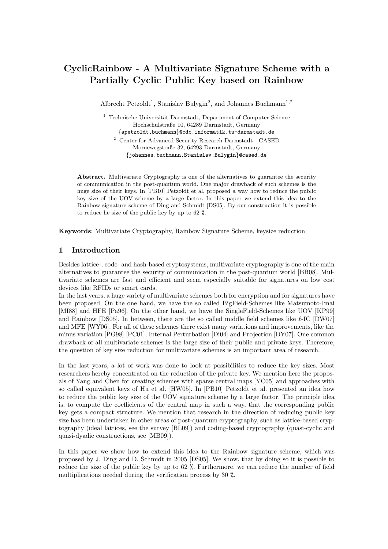# CyclicRainbow - A Multivariate Signature Scheme with a Partially Cyclic Public Key based on Rainbow

Albrecht Petzoldt<sup>1</sup>, Stanislav Bulygin<sup>2</sup>, and Johannes Buchmann<sup>1,2</sup>

 $1$  Technische Universität Darmstadt, Department of Computer Science Hochschulstraße 10, 64289 Darmstadt, Germany {apetzoldt,buchmann}@cdc.informatik.tu-darmstadt.de <sup>2</sup> Center for Advanced Security Research Darmstadt - CASED Mornewegstraße 32, 64293 Darmstadt, Germany {johannes.buchmann,Stanislav.Bulygin}@cased.de

Abstract. Multivariate Cryptography is one of the alternatives to guarantee the security of communication in the post-quantum world. One major drawback of such schemes is the huge size of their keys. In [PB10] Petzoldt et al. proposed a way how to reduce the public key size of the UOV scheme by a large factor. In this paper we extend this idea to the Rainbow signature scheme of Ding and Schmidt [DS05]. By our construction it is possible to reduce he size of the public key by up to 62 %.

Keywords: Multivariate Cryptography, Rainbow Signature Scheme, keysize reduction

# 1 Introduction

Besides lattice-, code- and hash-based cryptosystems, multivariate cryptography is one of the main alternatives to guarantee the security of communication in the post-quantum world [BB08]. Multivariate schemes are fast and efficient and seem especially suitable for signatures on low cost devices like RFIDs or smart cards.

In the last years, a huge variety of multivariate schemes both for encryption and for signatures have been proposed. On the one hand, we have the so called BigField-Schemes like Matsumoto-Imai [MI88] and HFE [Pa96]. On the other hand, we have the SingleField-Schemes like UOV [KP99] and Rainbow [DS05]. In between, there are the so called middle field schemes like  $\ell$ -IC [DW07] and MFE [WY06]. For all of these schemes there exist many variations and improvements, like the minus variation [PG98] [PC01], Internal Perturbation [Di04] and Projection [DY07]. One common drawback of all multivariate schemes is the large size of their public and private keys. Therefore, the question of key size reduction for multivariate schemes is an important area of research.

In the last years, a lot of work was done to look at possibilities to reduce the key sizes. Most researchers hereby concentrated on the reduction of the private key. We mention here the proposals of Yang and Chen for creating schemes with sparse central maps [YC05] and approaches with so called equivalent keys of Hu et al. [HW05]. In [PB10] Petzoldt et al. presented an idea how to reduce the public key size of the UOV signature scheme by a large factor. The principle idea is, to compute the coefficients of the central map in such a way, that the corresponding public key gets a compact structure. We mention that research in the direction of reducing public key size has been undertaken in other areas of post-quantum cryptography, such as lattice-based cryptography (ideal lattices, see the survey [BL09]) and coding-based cryptography (quasi-cyclic and quasi-dyadic constructions, see [MB09]).

In this paper we show how to extend this idea to the Rainbow signature scheme, which was proposed by J. Ding and D. Schmidt in 2005 [DS05]. We show, that by doing so it is possible to reduce the size of the public key by up to 62 %. Furthermore, we can reduce the number of field multiplications needed during the verification process by 30 %.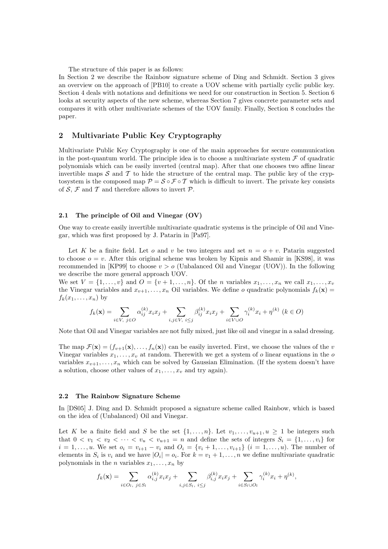The structure of this paper is as follows:

In Section 2 we describe the Rainbow signature scheme of Ding and Schmidt. Section 3 gives an overview on the approach of [PB10] to create a UOV scheme with partially cyclic public key. Section 4 deals with notations and definitions we need for our construction in Section 5. Section 6 looks at security aspects of the new scheme, whereas Section 7 gives concrete parameter sets and compares it with other multivariate schemes of the UOV family. Finally, Section 8 concludes the paper.

### 2 Multivariate Public Key Cryptography

Multivariate Public Key Cryptography is one of the main approaches for secure communication in the post-quantum world. The principle idea is to choose a multivariate system  $\mathcal F$  of quadratic polynomials which can be easily inverted (central map). After that one chooses two affine linear invertible maps  $S$  and  $T$  to hide the structure of the central map. The public key of the cryptosystem is the composed map  $P = S \circ F \circ T$  which is difficult to invert. The private key consists of  $S$ ,  $\mathcal F$  and  $\mathcal T$  and therefore allows to invert  $\mathcal P$ .

### 2.1 The principle of Oil and Vinegar (OV)

One way to create easily invertible multivariate quadratic systems is the principle of Oil and Vinegar, which was first proposed by J. Patarin in [Pa97].

Let K be a finite field. Let o and v be two integers and set  $n = o + v$ . Patarin suggested to choose  $o = v$ . After this original scheme was broken by Kipnis and Shamir in [KS98], it was recommended in [KP99] to choose  $v > o$  (Unbalanced Oil and Vinegar (UOV)). In the following we describe the more general approach UOV.

We set  $V = \{1, \ldots, v\}$  and  $O = \{v + 1, \ldots, n\}$ . Of the *n* variables  $x_1, \ldots, x_n$  we call  $x_1, \ldots, x_v$ the Vinegar variables and  $x_{v+1}, \ldots, x_n$  Oil variables. We define o quadratic polynomials  $f_k(\mathbf{x}) =$  $f_k(x_1,\ldots,x_n)$  by

$$
f_k(\mathbf{x}) = \sum_{i \in V, \ j \in O} \alpha_{ij}^{(k)} x_i x_j + \sum_{i,j \in V, \ i \le j} \beta_{ij}^{(k)} x_i x_j + \sum_{i \in V \cup O} \gamma_i^{(k)} x_i + \eta^{(k)} \ (k \in O)
$$

Note that Oil and Vinegar variables are not fully mixed, just like oil and vinegar in a salad dressing.

The map  $\mathcal{F}(\mathbf{x}) = (f_{v+1}(\mathbf{x}), \dots, f_n(\mathbf{x}))$  can be easily inverted. First, we choose the values of the v Vinegar variables  $x_1, \ldots, x_v$  at random. Therewith we get a system of  $o$  linear equations in the  $o$ variables  $x_{v+1}, \ldots, x_n$  which can be solved by Gaussian Elimination. (If the system doesn't have a solution, choose other values of  $x_1, \ldots, x_v$  and try again).

### 2.2 The Rainbow Signature Scheme

In [DS05] J. Ding and D. Schmidt proposed a signature scheme called Rainbow, which is based on the idea of (Unbalanced) Oil and Vinegar.

Let K be a finite field and S be the set  $\{1, \ldots, n\}$ . Let  $v_1, \ldots, v_{u+1}, u \geq 1$  be integers such that  $0 < v_1 < v_2 < \cdots < v_u < v_{u+1} = n$  and define the sets of integers  $S_i = \{1, \ldots, v_i\}$  for  $i = 1, \ldots, u$ . We set  $o_i = v_{i+1} - v_i$  and  $O_i = \{v_i + 1, \ldots, v_{i+1}\}$   $(i = 1, \ldots, u)$ . The number of elements in  $S_i$  is  $v_i$  and we have  $|O_i| = o_i$ . For  $k = v_1 + 1, \ldots, n$  we define multivariate quadratic polynomials in the *n* variables  $x_1, \ldots, x_n$  by

$$
f_k(\mathbf{x}) = \sum_{i \in O_l, j \in S_l} \alpha_{i,j}^{(k)} x_i x_j + \sum_{i,j \in S_l, i \leq j} \beta_{i,j}^{(k)} x_i x_j + \sum_{i \in S_l \cup O_l} \gamma_i^{(k)} x_i + \eta^{(k)},
$$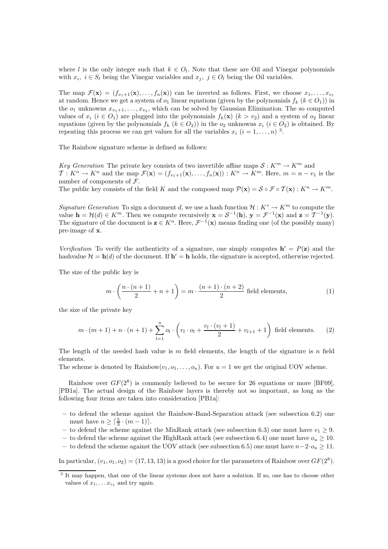where l is the only integer such that  $k \in O_l$ . Note that these are Oil and Vinegar polynomials with  $x_i, i \in S_l$  being the Vinegar variables and  $x_j, j \in O_l$  being the Oil variables.

The map  $\mathcal{F}(\mathbf{x}) = (f_{v_1+1}(\mathbf{x}), \ldots, f_n(\mathbf{x}))$  can be inverted as follows. First, we choose  $x_1, \ldots, x_{v_1}$ at random. Hence we get a system of  $o_1$  linear equations (given by the polynomials  $f_k$  ( $k \in O_1$ )) in the  $o_1$  unknowns  $x_{v_1+1}, \ldots, x_{v_2}$ , which can be solved by Gaussian Elimination. The so computed values of  $x_i$  ( $i \in O_1$ ) are plugged into the polynomials  $f_k(\mathbf{x})$  ( $k > v_2$ ) and a system of  $o_2$  linear equations (given by the polynomials  $f_k$  ( $k \in O_2$ )) in the  $o_2$  unknowns  $x_i$  ( $i \in O_2$ ) is obtained. By repeating this process we can get values for all the variables  $x_i$   $(i = 1, \ldots, n)$ <sup>3</sup>.

The Rainbow signature scheme is defined as follows:

Key Generation The private key consists of two invertible affine maps  $S: K^m \to K^m$  and  $\mathcal{T}: K^n \to K^n$  and the map  $\mathcal{F}(\mathbf{x}) = (f_{v_1+1}(\mathbf{x}), \ldots, f_n(\mathbf{x})): K^n \to K^m$ . Here,  $m = n - v_1$  is the number of components of  $\mathcal{F}.$ The public key consists of the field K and the composed map  $\mathcal{P}(\mathbf{x}) = \mathcal{S} \circ \mathcal{F} \circ \mathcal{T}(\mathbf{x}) : K^n \to K^m$ .

Signature Generation To sign a document d, we use a hash function  $\mathcal{H}: K^* \to K^m$  to compute the value  $\mathbf{h} = \mathcal{H}(d) \in K^m$ . Then we compute recursively  $\mathbf{x} = \mathcal{S}^{-1}(\mathbf{h}), \mathbf{y} = \mathcal{F}^{-1}(\mathbf{x})$  and  $\mathbf{z} = \mathcal{T}^{-1}(\mathbf{y})$ . The signature of the document is  $\mathbf{z} \in K^n$ . Here,  $\mathcal{F}^{-1}(\mathbf{x})$  means finding one (of the possibly many) pre-image of x.

Verification To verify the authenticity of a signature, one simply computes  $h' = P(z)$  and the hashvalue  $\mathcal{H} = \mathbf{h}(d)$  of the document. If  $\mathbf{h}' = \mathbf{h}$  holds, the signature is accepted, otherwise rejected.

The size of the public key is

$$
m \cdot \left(\frac{n \cdot (n+1)}{2} + n + 1\right) = m \cdot \frac{(n+1) \cdot (n+2)}{2}
$$
 field elements, (1)

the size of the private key

$$
m \cdot (m+1) + n \cdot (n+1) + \sum_{l=1}^{u} o_l \cdot \left(v_l \cdot o_l + \frac{v_l \cdot (v_l + 1)}{2} + v_{l+1} + 1\right)
$$
 field elements. (2)

The length of the needed hash value is m field elements, the length of the signature is n field elements.

The scheme is denoted by Rainbow $(v_1, o_1, \ldots, o_u)$ . For  $u = 1$  we get the original UOV scheme.

Rainbow over  $GF(2^8)$  is commonly believed to be secure for 26 equations or more [BF09], [PB1a]. The actual design of the Rainbow layers is thereby not so important, as long as the following four items are taken into consideration [PB1a]:

- to defend the scheme against the Rainbow-Band-Separation attack (see subsection 6.2) one must have  $n \geq \lceil \frac{5}{3} \cdot (m-1) \rceil$ .
- to defend the scheme against the MinRank attack (see subsection 6.3) one must have  $v_1 \geq 9$ .
- to defend the scheme against the HighRank attack (see subsection 6.4) one must have  $o_u \geq 10$ .
- to defend the scheme against the UOV attack (see subsection 6.5) one must have  $n-2\cdot o_n > 11$ .

In particular,  $(v_1, o_1, o_2) = (17, 13, 13)$  is a good choice for the parameters of Rainbow over  $GF(2^8)$ .

<sup>&</sup>lt;sup>3</sup> It may happen, that one of the linear systems does not have a solution. If so, one has to choose other values of  $x_1, \ldots x_{v_1}$  and try again.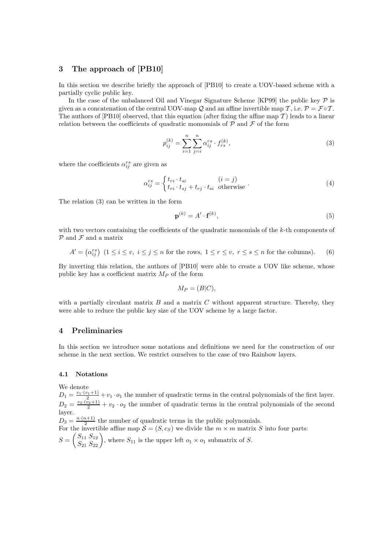# 3 The approach of [PB10]

In this section we describe briefly the approach of [PB10] to create a UOV-based scheme with a partially cyclic public key.

In the case of the unbalanced Oil and Vinegar Signature Scheme [KP99] the public key  $\mathcal P$  is given as a concatenation of the central UOV-map Q and an affine invertible map T, i.e.  $\mathcal{P} = \mathcal{F} \circ \mathcal{T}$ . The authors of [PB10] observed, that this equation (after fixing the affine map  $\mathcal T$ ) leads to a linear relation between the coefficients of quadratic momomials of  $P$  and  $\mathcal F$  of the form

$$
p_{ij}^{(k)} = \sum_{i=1}^{n} \sum_{j=i}^{n} \alpha_{ij}^{rs} \cdot f_{rs}^{(k)},
$$
\n(3)

where the coefficients  $\alpha_{ij}^{rs}$  are given as

$$
\alpha_{ij}^{rs} = \begin{cases} t_{ri} \cdot t_{si} & (i = j) \\ t_{ri} \cdot t_{sj} + t_{rj} \cdot t_{si} & \text{otherwise} \end{cases} (4)
$$

The relation (3) can be written in the form

$$
\mathbf{p}^{(k)} = A' \cdot \mathbf{f}^{(k)},\tag{5}
$$

with two vectors containing the coefficients of the quadratic monomials of the k-th components of  $P$  and  $F$  and a matrix

$$
A' = \left(\alpha_{ij}^{rs}\right) \ (1 \le i \le v, \ i \le j \le n \text{ for the rows, } 1 \le r \le v, \ r \le s \le n \text{ for the columns}).\tag{6}
$$

By inverting this relation, the authors of [PB10] were able to create a UOV like scheme, whose public key has a coefficient matrix  $M_P$  of the form

$$
M_P = (B|C),
$$

with a partially circulant matrix  $B$  and a matrix  $C$  without apparent structure. Thereby, they were able to reduce the public key size of the UOV scheme by a large factor.

# 4 Preliminaries

In this section we introduce some notations and definitions we need for the construction of our scheme in the next section. We restrict ourselves to the case of two Rainbow layers.

# 4.1 Notations

We denote

 $D_1 = \frac{v_1 \cdot (v_1+1)}{2} + v_1 \cdot o_1$  the number of quadratic terms in the central polynomials of the first layer.  $D_2 = \frac{v_2 \cdot (v_2+1)}{2} + v_2 \cdot o_2$  the number of quadratic terms in the central polynomials of the second layer.

 $D_3 = \frac{n \cdot (n+1)}{2}$  $\frac{2^{i+1}}{2}$  the number of quadratic terms in the public polynomials. For the invertible affine map  $S = (S, c_S)$  we divide the  $m \times m$  matrix S into four parts:  $S = \begin{pmatrix} S_{11} & S_{12} \\ S_{21} & S_{22} \end{pmatrix}$ , where  $S_{11}$  is the upper left  $o_1 \times o_1$  submatrix of S.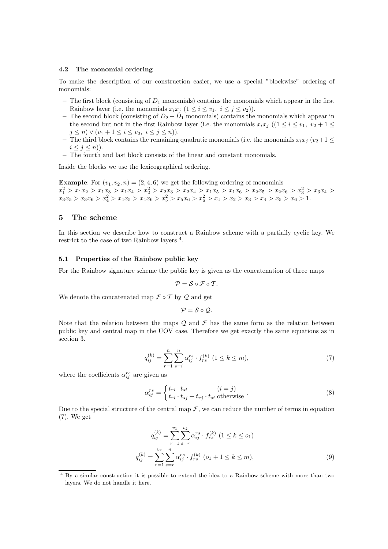### 4.2 The monomial ordering

To make the description of our construction easier, we use a special "blockwise" ordering of monomials:

- The first block (consisting of  $D_1$  monomials) contains the monomials which appear in the first Rainbow layer (i.e. the monomials  $x_ix_j$   $(1 \leq i \leq v_1, i \leq j \leq v_2)$ ).
- The second block (consisting of  $D_2 D_1$  monomials) contains the monomials which appear in the second but not in the first Rainbow layer (i.e. the monomials  $x_ix_j$  (( $1 \le i \le v_1, v_2 + 1 \le$  $j \leq n$ )  $\vee$   $(v_1 + 1 \leq i \leq v_2, i \leq j \leq n)$ ).
- The third block contains the remaining quadratic monomials (i.e. the monomials  $x_ix_j$  ( $v_2+1 \leq$  $i \leq j \leq n$ ).
- The fourth and last block consists of the linear and constant monomials.

Inside the blocks we use the lexicographical ordering.

**Example:** For  $(v_1, v_2, n) = (2, 4, 6)$  we get the following ordering of monomials  $x_1^2 > x_1x_2 > x_1x_3 > x_1x_4 > x_2^2 > x_2x_3 > x_2x_4 > x_1x_5 > x_1x_6 > x_2x_5 > x_2x_6 > x_3^2 > x_3x_4 >$  $x_3x_5 > x_3x_6 > x_4^2 > x_4x_5 > x_4x_6 > x_5^2 > x_5x_6 > x_6^2 > x_1 > x_2 > x_3 > x_4 > x_5 > x_6 > 1.$ 

# 5 The scheme

In this section we describe how to construct a Rainbow scheme with a partially cyclic key. We restrict to the case of two Rainbow layers <sup>4</sup>.

### 5.1 Properties of the Rainbow public key

For the Rainbow signature scheme the public key is given as the concatenation of three maps

$$
\mathcal{P}=\mathcal{S}\circ\mathcal{F}\circ\mathcal{T}.
$$

We denote the concatenated map  $\mathcal{F} \circ \mathcal{T}$  by  $\mathcal{Q}$  and get

$$
\mathcal{P}=\mathcal{S}\circ\mathcal{Q}.
$$

Note that the relation between the maps  $\mathcal Q$  and  $\mathcal F$  has the same form as the relation between public key and central map in the UOV case. Therefore we get exactly the same equations as in section 3.

$$
q_{ij}^{(k)} = \sum_{r=1}^{n} \sum_{s=i}^{n} \alpha_{ij}^{rs} \cdot f_{rs}^{(k)} \ (1 \le k \le m), \tag{7}
$$

where the coefficients  $\alpha_{ij}^{rs}$  are given as

$$
\alpha_{ij}^{rs} = \begin{cases} t_{ri} \cdot t_{si} & (i = j) \\ t_{ri} \cdot t_{sj} + t_{rj} \cdot t_{si} \text{ otherwise} \end{cases} . \tag{8}
$$

Due to the special structure of the central map  $\mathcal F$ , we can reduce the number of terms in equation (7). We get

$$
q_{ij}^{(k)} = \sum_{r=1}^{v_1} \sum_{s=r}^{v_2} \alpha_{ij}^{rs} \cdot f_{rs}^{(k)} \ (1 \le k \le o_1)
$$
  

$$
q_{ij}^{(k)} = \sum_{r=1}^{v_2} \sum_{s=r}^{n} \alpha_{ij}^{rs} \cdot f_{rs}^{(k)} \ (o_1 + 1 \le k \le m),
$$
  
(9)

<sup>4</sup> By a similar construction it is possible to extend the idea to a Rainbow scheme with more than two layers. We do not handle it here.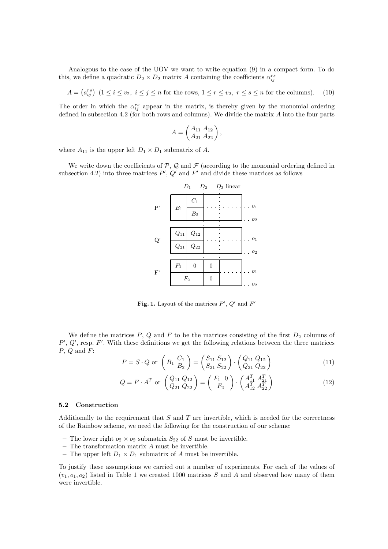Analogous to the case of the UOV we want to write equation (9) in a compact form. To do this, we define a quadratic  $D_2 \times D_2$  matrix A containing the coefficients  $\alpha_{ij}^{rs}$ 

 $A = \left(a_{ij}^{rs}\right)$   $(1 \le i \le v_2, i \le j \le n$  for the rows,  $1 \le r \le v_2, r \le s \le n$  for the columns). (10)

The order in which the  $\alpha_{ij}^{rs}$  appear in the matrix, is thereby given by the monomial ordering defined in subsection 4.2 (for both rows and columns). We divide the matrix  $A$  into the four parts

$$
A = \begin{pmatrix} A_{11} & A_{12} \\ A_{21} & A_{22} \end{pmatrix},
$$

where  $A_{11}$  is the upper left  $D_1 \times D_1$  submatrix of A.

We write down the coefficients of  $P$ ,  $Q$  and  $F$  (according to the monomial ordering defined in subsection 4.2) into three matrices  $P', Q'$  and  $F'$  and divide these matrices as follows

|                       |                    | $D_1$              | $D_2$          | $D_3$ linear |                |
|-----------------------|--------------------|--------------------|----------------|--------------|----------------|
| P'                    | $B_1$              | $C_1$              |                |              | O <sub>1</sub> |
|                       |                    | $\mathcal{B}_2$    |                |              | O <sub>2</sub> |
|                       |                    |                    |                |              |                |
| Q'                    | $\mathcal{Q}_{11}$ | $\mathcal{Q}_{12}$ |                |              | O <sub>1</sub> |
|                       | $\mathcal{Q}_{21}$ | $\mathbb{Q}_{22}$  |                |              | O <sub>2</sub> |
|                       |                    |                    |                |              |                |
| $\mathbf{F}^{\prime}$ | $F_1$              | $\overline{0}$     | $\overline{0}$ |              | O <sub>1</sub> |
|                       |                    | $\mathbb{F}_2$     | $\overline{0}$ |              | O <sub>2</sub> |
|                       |                    |                    |                |              |                |

Fig. 1. Layout of the matrices  $P', Q'$  and  $F'$ 

We define the matrices  $P, Q$  and  $F$  to be the matrices consisting of the first  $D_2$  columns of  $P', Q',$  resp.  $F'$ . With these definitions we get the following relations between the three matrices  $P, Q$  and  $F$ :

$$
P = S \cdot Q \text{ or } \left( B_1 \frac{C_1}{B_2} \right) = \left( \frac{S_{11} S_{12}}{S_{21} S_{22}} \right) \cdot \left( \frac{Q_{11} Q_{12}}{Q_{21} Q_{22}} \right) \tag{11}
$$

$$
Q = F \cdot A^T \text{ or } \begin{pmatrix} Q_{11} & Q_{12} \\ Q_{21} & Q_{22} \end{pmatrix} = \begin{pmatrix} F_1 & 0 \\ F_2 \end{pmatrix} \cdot \begin{pmatrix} A_{11}^T & A_{21}^T \\ A_{12}^T & A_{22}^T \end{pmatrix}
$$
(12)

#### 5.2 Construction

Additionally to the requirement that  $S$  and  $T$  are invertible, which is needed for the correctness of the Rainbow scheme, we need the following for the construction of our scheme:

- The lower right  $o_2 \times o_2$  submatrix  $S_{22}$  of S must be invertible.
- $-$  The transformation matrix  ${\cal A}$  must be invertible.
- The upper left  $D_1 \times D_1$  submatrix of A must be invertible.

To justify these assumptions we carried out a number of experiments. For each of the values of  $(v_1, o_1, o_2)$  listed in Table 1 we created 1000 matrices S and A and observed how many of them were invertible.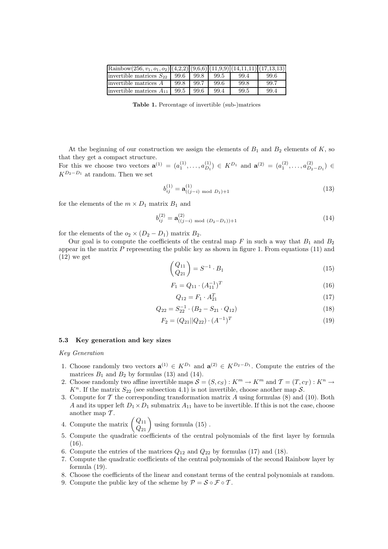| $\text{Rainbow}(256, v_1, o_1, o_2) \big  (4,2,2) \big  (9,6,6) \big  (11,9,9) \big  (14,11,11) \big  (17,13,13) \big $ |      |      |      |      |      |
|-------------------------------------------------------------------------------------------------------------------------|------|------|------|------|------|
| invertible matrices $S_{22}$                                                                                            | 99.6 | 99.8 | 99.5 | 99.4 | 99.6 |
| linvertible matrices $A$                                                                                                | 99.8 | 99.7 | 99.6 | 99.8 | 99.7 |
| invertible matrices $A_{11}$                                                                                            | 99.5 | 99.6 | 99.4 | 99.5 | 99.4 |

Table 1. Percentage of invertible (sub-)matrices

At the beginning of our construction we assign the elements of  $B_1$  and  $B_2$  elements of K, so that they get a compact structure.

For this we choose two vectors  $\mathbf{a}^{(1)} = (a_1^{(1)}, \dots, a_{D_1}^{(1)}) \in K^{D_1}$  and  $\mathbf{a}^{(2)} = (a_1^{(2)}, \dots, a_{D_2 - D_1}^{(2)}) \in$  $K^{D_2-D_1}$  at random. Then we set

$$
b_{ij}^{(1)} = \mathbf{a}_{((j-i) \text{ mod } D_1)+1}^{(1)}
$$
 (13)

for the elements of the  $m \times D_1$  matrix  $B_1$  and

$$
b_{ij}^{(2)} = \mathbf{a}_{((j-i) \mod (D_2 - D_1)) + 1}^{(2)}
$$
 (14)

for the elements of the  $o_2 \times (D_2 - D_1)$  matrix  $B_2$ .

Our goal is to compute the coefficients of the central map F in such a way that  $B_1$  and  $B_2$ appear in the matrix  $P$  representing the public key as shown in figure 1. From equations (11) and  $(12)$  we get

$$
\begin{pmatrix} Q_{11} \\ Q_{21} \end{pmatrix} = S^{-1} \cdot B_1 \tag{15}
$$

$$
F_1 = Q_{11} \cdot (A_{11}^{-1})^T \tag{16}
$$

$$
Q_{12} = F_1 \cdot A_{21}^T \tag{17}
$$

$$
Q_{22} = S_{22}^{-1} \cdot (B_2 - S_{21} \cdot Q_{12}) \tag{18}
$$

$$
F_2 = (Q_{21}||Q_{22}) \cdot (A^{-1})^T
$$
\n(19)

### 5.3 Key generation and key sizes

### Key Generation

- 1. Choose randomly two vectors  $\mathbf{a}^{(1)} \in K^{D_1}$  and  $\mathbf{a}^{(2)} \in K^{D_2-D_1}$ . Compute the entries of the matrices  $B_1$  and  $B_2$  by formulas (13) and (14).
- 2. Choose randomly two affine invertible maps  $S = (S, c_S) : K^m \to K^m$  and  $\mathcal{T} = (T, c_T) : K^n \to$  $K<sup>n</sup>$ . If the matrix  $S_{22}$  (see subsection 4.1) is not invertible, choose another map S.
- 3. Compute for  $\mathcal T$  the corresponding transformation matrix  $A$  using formulas (8) and (10). Both A and its upper left  $D_1 \times D_1$  submatrix  $A_{11}$  have to be invertible. If this is not the case, choose another map  $T$ .
- 4. Compute the matrix  $\begin{pmatrix} Q_{11} \\ Q_{21} \end{pmatrix}$  using formula (15).
- 5. Compute the quadratic coefficients of the central polynomials of the first layer by formula (16).
- 6. Compute the entries of the matrices  $Q_{12}$  and  $Q_{22}$  by formulas (17) and (18).
- 7. Compute the quadratic coefficients of the central polynomials of the second Rainbow layer by formula (19).
- 8. Choose the coefficients of the linear and constant terms of the central polynomials at random.
- 9. Compute the public key of the scheme by  $\mathcal{P} = \mathcal{S} \circ \mathcal{F} \circ \mathcal{T}$ .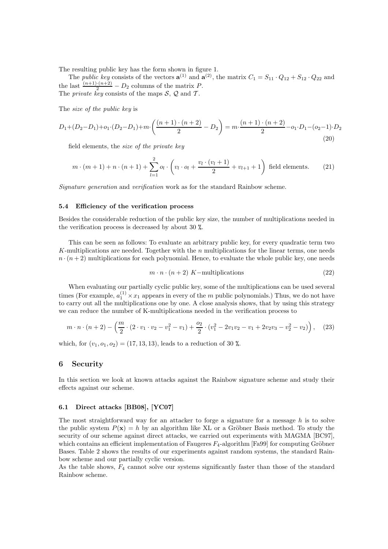The resulting public key has the form shown in figure 1.

The *public key* consists of the vectors  $\mathbf{a}^{(1)}$  and  $\mathbf{a}^{(2)}$ , the matrix  $C_1 = S_{11} \cdot Q_{12} + S_{12} \cdot Q_{22}$  and the last  $\frac{(n+1)\cdot(n+2)}{2} - D_2$  columns of the matrix P. The *private* key consists of the maps  $S$ ,  $Q$  and  $T$ .

The size of the public key is

$$
D_1 + (D_2 - D_1) + o_1 \cdot (D_2 - D_1) + m \cdot \left(\frac{(n+1) \cdot (n+2)}{2} - D_2\right) = m \cdot \frac{(n+1) \cdot (n+2)}{2} - o_1 \cdot D_1 - (o_2 - 1) \cdot D_2
$$
\n(20)

field elements, the size of the private key

$$
m \cdot (m+1) + n \cdot (n+1) + \sum_{l=1}^{2} o_l \cdot \left(v_l \cdot o_l + \frac{v_l \cdot (v_l+1)}{2} + v_{l+1} + 1\right)
$$
 field elements. (21)

Signature generation and verification work as for the standard Rainbow scheme.

#### 5.4 Efficiency of the verification process

Besides the considerable reduction of the public key size, the number of multiplications needed in the verification process is decreased by about 30 %.

This can be seen as follows: To evaluate an arbitrary public key, for every quadratic term two K-multiplications are needed. Together with the  $n$  multiplications for the linear terms, one needs  $n \cdot (n+2)$  multiplications for each polynomial. Hence, to evaluate the whole public key, one needs

$$
m \cdot n \cdot (n+2) K-\text{multiplications} \tag{22}
$$

When evaluating our partially cyclic public key, some of the multiplications can be used several times (For example,  $a_1^{(1)} \times x_1$  appears in every of the m public polynomials.) Thus, we do not have to carry out all the multiplications one by one. A close analysis shows, that by using this strategy we can reduce the number of K-multiplications needed in the verification process to

$$
m \cdot n \cdot (n+2) - \left(\frac{m}{2} \cdot (2 \cdot v_1 \cdot v_2 - v_1^2 - v_1) + \frac{o_2}{2} \cdot (v_1^2 - 2v_1v_2 - v_1 + 2v_2v_3 - v_2^2 - v_2)\right), \quad (23)
$$

which, for  $(v_1, o_1, o_2) = (17, 13, 13)$ , leads to a reduction of 30 %.

### 6 Security

In this section we look at known attacks against the Rainbow signature scheme and study their effects against our scheme.

### 6.1 Direct attacks [BB08], [YC07]

The most straightforward way for an attacker to forge a signature for a message  $h$  is to solve the public system  $P(x) = h$  by an algorithm like XL or a Gröbner Basis method. To study the security of our scheme against direct attacks, we carried out experiments with MAGMA [BC97], which contains an efficient implementation of Faugeres  $F_4$ -algorithm [Fa99] for computing Gröbner Bases. Table 2 shows the results of our experiments against random systems, the standard Rainbow scheme and our partially cyclic version.

As the table shows,  $F_4$  cannot solve our systems significantly faster than those of the standard Rainbow scheme.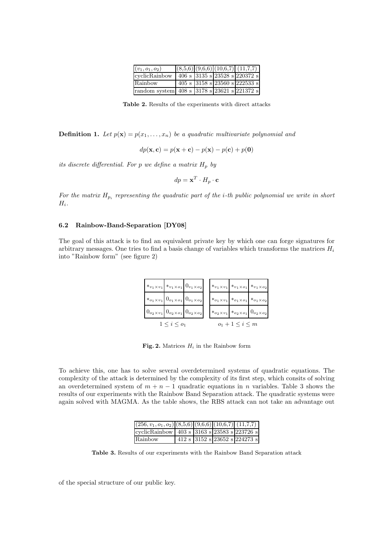| $(v_1, o_1, o_2)$                                 |  | $(8,5,6)$ $(9,6,6)$ $(10,6,7)$ $(11,7,7)$                 |
|---------------------------------------------------|--|-----------------------------------------------------------|
| cyclicRainbow                                     |  | 406 s $ 3135 \text{ s} 23528 \text{ s} 220372 \text{ s} $ |
| Rainbow                                           |  | 405 s 3158 s 23560 s 222533 s                             |
| random system 408 s $3178$ s $23621$ s $221372$ s |  |                                                           |

Table 2. Results of the experiments with direct attacks

**Definition 1.** Let  $p(\mathbf{x}) = p(x_1, \ldots, x_n)$  be a quadratic multivariate polynomial and

$$
dp(\mathbf{x}, \mathbf{c}) = p(\mathbf{x} + \mathbf{c}) - p(\mathbf{x}) - p(\mathbf{c}) + p(\mathbf{0})
$$

its discrete differential. For p we define a matrix  $H_p$  by

$$
dp = \mathbf{x}^T \cdot H_p \cdot \mathbf{c}
$$

For the matrix  $H_{p_i}$  representing the quadratic part of the *i*-th public polynomial we write in short  $H_i$ .

### 6.2 Rainbow-Band-Separation [DY08]

The goal of this attack is to find an equivalent private key by which one can forge signatures for arbitrary messages. One tries to find a basis change of variables which transforms the matrices  $H_i$ into "Rainbow form" (see figure 2)



Fig. 2. Matrices  $H_i$  in the Rainbow form

To achieve this, one has to solve several overdetermined systems of quadratic equations. The complexity of the attack is determined by the complexity of its first step, which consits of solving an overdetermined system of  $m + n - 1$  quadratic equations in n variables. Table 3 shows the results of our experiments with the Rainbow Band Separation attack. The quadratic systems were again solved with MAGMA. As the table shows, the RBS attack can not take an advantage out

| $(256, v_1, o_1, o_2)$ $(8,5,6)$ $(9,6,6)$ $(10,6,7)$ $(11,7,7)$ |  |                               |
|------------------------------------------------------------------|--|-------------------------------|
| cyclicRainbow   403 s 3163 s 23583 s 223726 s                    |  |                               |
| Rainbow                                                          |  | 412 s 3152 s 23652 s 224273 s |

Table 3. Results of our experiments with the Rainbow Band Separation attack

of the special structure of our public key.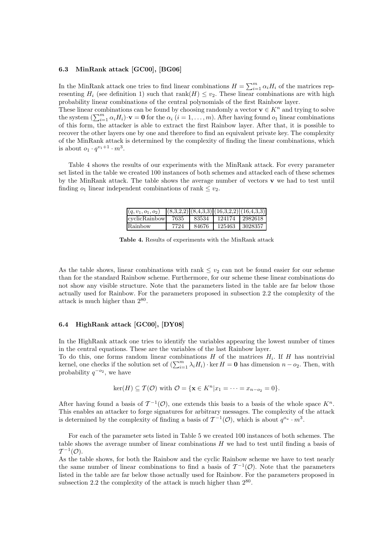### 6.3 MinRank attack [GC00], [BG06]

In the MinRank attack one tries to find linear combinations  $H = \sum_{i=1}^{m} \alpha_i H_i$  of the matrices representing  $H_i$  (see definition 1) such that rank $(H) \le v_2$ . These linear combinations are with high probability linear combinations of the central polynomials of the first Rainbow layer. These linear combinations can be found by choosing randomly a vector  $\mathbf{v} \in K^n$  and trying to solve the system  $(\sum_{i=1}^m \alpha_i H_i) \cdot \mathbf{v} = \mathbf{0}$  for the  $\alpha_i$   $(i = 1, \ldots, m)$ . After having found  $o_1$  linear combinations of this form, the attacker is able to extract the first Rainbow layer. After that, it is possible to recover the other layers one by one and therefore to find an equivalent private key. The complexity of the MinRank attack is determined by the complexity of finding the linear combinations, which is about  $o_1 \cdot q^{v_1+1} \cdot m^3$ .

Table 4 shows the results of our experiments with the MinRank attack. For every parameter set listed in the table we created 100 instances of both schemes and attacked each of these schemes by the MinRank attack. The table shows the average number of vectors  $\bf{v}$  we had to test until finding  $o_1$  linear independent combinations of rank  $\leq v_2$ .

| $(q, v_1, o_1, o_2)$ |      |       | $(8,3,2,2)$ $(8,4,3,3)$ $(16,3,2,2)$ $(16,4,3,3)$ |                |
|----------------------|------|-------|---------------------------------------------------|----------------|
| cyclicRainbow        | 7635 |       | 83534   124174   2982618                          |                |
| Rainbow              | 7724 | 84676 |                                                   | 125463 3028357 |

Table 4. Results of experiments with the MinRank attack

As the table shows, linear combinations with rank  $\leq v_2$  can not be found easier for our scheme than for the standard Rainbow scheme. Furthermore, for our scheme these linear combinations do not show any visible structure. Note that the parameters listed in the table are far below those actually used for Rainbow. For the parameters proposed in subsection 2.2 the complexity of the attack is much higher than  $2^{80}$ .

# 6.4 HighRank attack [GC00], [DY08]

In the HighRank attack one tries to identify the variables appearing the lowest number of times in the central equations. These are the variables of the last Rainbow layer.

To do this, one forms random linear combinations  $H$  of the matrices  $H_i$ . If  $H$  has nontrivial kernel, one checks if the solution set of  $(\sum_{i=1}^{m} \lambda_i H_i) \cdot \ker H = 0$  has dimension  $n - o_2$ . Then, with probability  $q^{-\sigma_2}$ , we have

$$
\ker(H) \subseteq \mathcal{T}(\mathcal{O}) \text{ with } \mathcal{O} = \{ \mathbf{x} \in K^n | x_1 = \cdots = x_{n-o_2} = 0 \}.
$$

After having found a basis of  $\mathcal{T}^{-1}(\mathcal{O})$ , one extends this basis to a basis of the whole space  $K^n$ . This enables an attacker to forge signatures for arbitrary messages. The complexity of the attack is determined by the complexity of finding a basis of  $\mathcal{T}^{-1}(\mathcal{O})$ , which is about  $q^{o_u} \cdot m^3$ .

For each of the parameter sets listed in Table 5 we created 100 instances of both schemes. The table shows the average number of linear combinations H we had to test until finding a basis of  $\mathcal{T}^{-1}(\mathcal{O}).$ 

As the table shows, for both the Rainbow and the cyclic Rainbow scheme we have to test nearly the same number of linear combinations to find a basis of  $\mathcal{T}^{-1}(\mathcal{O})$ . Note that the parameters listed in the table are far below those actually used for Rainbow. For the parameters proposed in subsection 2.2 the complexity of the attack is much higher than  $2^{80}$ .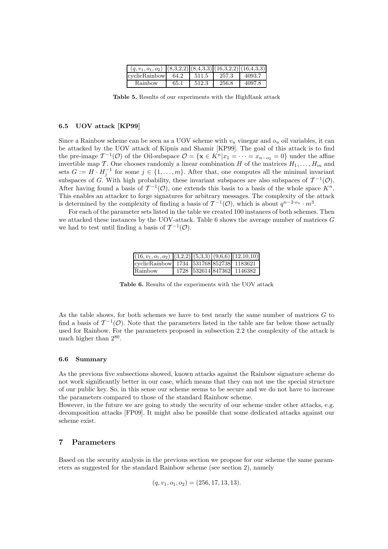| $(q, v_1, o_1, o_2)$ $ (8,3,2,2)  (8,4,3,3)  (16,3,2,2)  (16,4,3,3) $ |      |       |       |        |
|-----------------------------------------------------------------------|------|-------|-------|--------|
| cyclicRainbow                                                         | 64.2 | 511.5 | 257.3 | 4093.7 |
| Rainbow                                                               | 65.1 | 512.3 | 256.8 | 4097.8 |

Table 5. Results of our experiments with the HighRank attack

### 6.5 UOV attack [KP99]

Since a Rainbow scheme can be seen as a UOV scheme with  $v_u$  vinegar and  $o_u$  oil variables, it can be attacked by the UOV attack of Kipnis and Shamir [KP99]. The goal of this attack is to find the pre-image  $\mathcal{T}^{-1}(\mathcal{O})$  of the Oil-subspace  $\mathcal{O} = {\mathbf{x} \in K^n | x_1 = \cdots = x_{n-o_2} = 0}$  under the affine invertible map T. One chooses randomly a linear combination H of the matrices  $H_1, \ldots, H_m$  and sets  $G := H \cdot H_j^{-1}$  for some  $j \in \{1, ..., m\}$ . After that, one computes all the minimal invariant subspaces of G. With high probability, these invariant subspaces are also subspaces of  $\mathcal{T}^{-1}(\mathcal{O})$ . After having found a basis of  $\mathcal{T}^{-1}(\mathcal{O})$ , one extends this basis to a basis of the whole space  $K^n$ . This enables an attacker to forge signatures for arbitrary messages. The complexity of the attack is determined by the complexity of finding a basis of  $\mathcal{T}^{-1}(\mathcal{O})$ , which is about  $q^{n-2 \cdot o_u} \cdot m^3$ .

For each of the parameter sets listed in the table we created 100 instances of both schemes. Then we attacked these instances by the UOV-attack. Table 6 shows the average number of matrices G we had to test until finding a basis of  $\mathcal{T}^{-1}(\mathcal{O})$ .

| $(16, v_1, o_1, o_2)$ $(3,2,2)$ $(5,3,3)$ $(9,6,6)$ $(12,10,10)$ |  |                            |
|------------------------------------------------------------------|--|----------------------------|
| cyclicRainbow 1734 531768 852738 1183621                         |  |                            |
| Rainbow                                                          |  | 1728 532614 847362 1146382 |

Table 6. Results of the experiments with the UOV attack

As the table shows, for both schemes we have to test nearly the same number of matrices  $G$  to find a basis of  $\mathcal{T}^{-1}(\mathcal{O})$ . Note that the parameters listed in the table are far below those actually used for Rainbow. For the parameters proposed in subsection 2.2 the complexity of the attack is much higher than  $2^{80}$ .

### 6.6 Summary

As the previous five subsections showed, known attacks against the Rainbow signature scheme do not work significantly better in our case, which means that they can not use the special structure of our public key. So, in this sense our scheme seems to be secure and we do not have to increase the parameters compared to those of the standard Rainbow scheme.

However, in the future we are going to study the security of our scheme under other attacks, e.g. decomposition attacks [FP09]. It might also be possible that some dedicated attacks against our scheme exist.

# 7 Parameters

Based on the security analysis in the previous section we propose for our scheme the same parameters as suggested for the standard Rainbow scheme (see section 2), namely

$$
(q, v_1, o_1, o_2) = (256, 17, 13, 13).
$$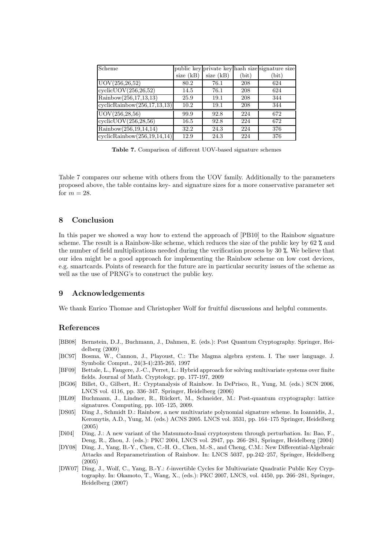| Scheme                      |             |             |       | public key private key hash size signature size |
|-----------------------------|-------------|-------------|-------|-------------------------------------------------|
|                             | size $(kB)$ | size $(kB)$ | (bit) | $_{\rm (bit)}$                                  |
| UOV(256, 26, 52)            | 80.2        | 76.1        | 208   | 624                                             |
| cyclicUOV(256, 26, 52)      | 14.5        | 76.1        | 208   | 624                                             |
| Rainbow(256,17,13,13)       | 25.9        | 19.1        | 208   | 344                                             |
| cyclicRainbow(256,17,13,13) | 10.2        | 19.1        | 208   | 344                                             |
| UOV(256, 28, 56)            | 99.9        | 92.8        | 224   | 672                                             |
| cyclicUOV(256,28,56)        | 16.5        | 92.8        | 224   | 672                                             |
| Rainbow(256,19,14,14)       | 32.2        | 24.3        | 224   | 376                                             |
| cyclicRainbow(256,19,14,14) | 12.9        | 24.3        | 224   | 376                                             |

Table 7. Comparison of different UOV-based signature schemes

Table 7 compares our scheme with others from the UOV family. Additionally to the parameters proposed above, the table contains key- and signature sizes for a more conservative parameter set for  $m = 28$ .

# 8 Conclusion

In this paper we showed a way how to extend the approach of [PB10] to the Rainbow signature scheme. The result is a Rainbow-like scheme, which reduces the size of the public key by 62 % and the number of field multiplications needed during the verification process by 30 %. We believe that our idea might be a good approach for implementing the Rainbow scheme on low cost devices, e.g. smartcards. Points of research for the future are in particular security issues of the scheme as well as the use of PRNG's to construct the public key.

### 9 Acknowledgements

We thank Enrico Thomae and Christopher Wolf for fruitful discussions and helpful comments.

# References

- [BB08] Bernstein, D.J., Buchmann, J., Dahmen, E. (eds.): Post Quantum Cryptography. Springer, Heidelberg (2009)
- [BC97] Bosma, W., Cannon, J., Playoust, C.: The Magma algebra system. I. The user language. J. Symbolic Comput., 24(3-4):235-265, 1997
- [BF09] Bettale, L., Faugere, J.-C., Perret, L.: Hybrid approach for solving multivariate systems over finite fields. Journal of Math. Cryptology, pp. 177-197, 2009
- [BG06] Billet, O., Gilbert, H.: Cryptanalysis of Rainbow. In DePrisco, R., Yung, M. (eds.) SCN 2006, LNCS vol. 4116, pp. 336–347. Springer, Heidelberg (2006)
- [BL09] Buchmann, J., Lindner, R., Rückert, M., Schneider, M.: Post-quantum cryptography: lattice signatures. Computing, pp. 105–125, 2009.
- [DS05] Ding J., Schmidt D.: Rainbow, a new multivariate polynomial signature scheme. In Ioannidis, J., Keromytis, A.D., Yung, M. (eds.) ACNS 2005. LNCS vol. 3531, pp. 164–175 Springer, Heidelberg (2005)
- [Di04] Ding, J.: A new variant of the Matsumoto-Imai cryptosystem through perturbation. In: Bao, F., Deng, R., Zhou, J. (eds.): PKC 2004, LNCS vol. 2947, pp. 266–281, Springer, Heidelberg (2004)
- [DY08] Ding, J., Yang, B.-Y., Chen, C.-H. O., Chen, M.-S., and Cheng, C.M.: New Differential-Algebraic Attacks and Reparametrization of Rainbow. In: LNCS 5037, pp.242–257, Springer, Heidelberg (2005)
- [DW07] Ding, J., Wolf, C., Yang, B.-Y.: ℓ-invertible Cycles for Multivariate Quadratic Public Key Cryptography. In: Okamoto, T., Wang, X., (eds.): PKC 2007, LNCS, vol. 4450, pp. 266–281, Springer, Heidelberg (2007)